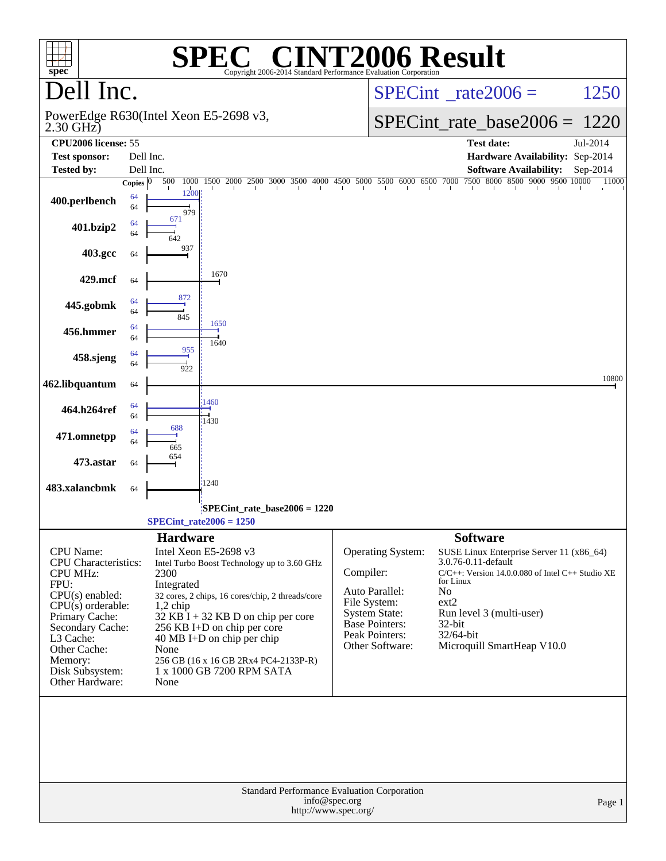| $spec^*$                                                                                                                                                                                                                          |                    |                                                                                                                                                                                                                                                                       | $\sqrt{R}$<br>Copyright 2006-2014 Standard Performance Evaluation Corporation                   |                                       | <b>[2006 Result</b>                                                                                                                |                                                                       |                                                                                                                                                             |          |
|-----------------------------------------------------------------------------------------------------------------------------------------------------------------------------------------------------------------------------------|--------------------|-----------------------------------------------------------------------------------------------------------------------------------------------------------------------------------------------------------------------------------------------------------------------|-------------------------------------------------------------------------------------------------|---------------------------------------|------------------------------------------------------------------------------------------------------------------------------------|-----------------------------------------------------------------------|-------------------------------------------------------------------------------------------------------------------------------------------------------------|----------|
| Dell Inc.                                                                                                                                                                                                                         |                    |                                                                                                                                                                                                                                                                       |                                                                                                 |                                       | $SPECint^{\circ}$ rate $2006 =$                                                                                                    |                                                                       |                                                                                                                                                             | 1250     |
| $2.30$ GHz)                                                                                                                                                                                                                       |                    | PowerEdge R630(Intel Xeon E5-2698 v3,                                                                                                                                                                                                                                 |                                                                                                 |                                       |                                                                                                                                    |                                                                       | $SPECint_rate\_base2006 =$                                                                                                                                  | 1220     |
| CPU2006 license: 55                                                                                                                                                                                                               |                    |                                                                                                                                                                                                                                                                       |                                                                                                 |                                       |                                                                                                                                    |                                                                       | <b>Test date:</b>                                                                                                                                           | Jul-2014 |
| <b>Test sponsor:</b>                                                                                                                                                                                                              |                    | Dell Inc.                                                                                                                                                                                                                                                             |                                                                                                 |                                       |                                                                                                                                    |                                                                       | Hardware Availability: Sep-2014                                                                                                                             |          |
| <b>Tested by:</b>                                                                                                                                                                                                                 |                    | Dell Inc.                                                                                                                                                                                                                                                             |                                                                                                 |                                       |                                                                                                                                    |                                                                       | <b>Software Availability:</b>                                                                                                                               | Sep-2014 |
|                                                                                                                                                                                                                                   | Copies $ 0\rangle$ | 500<br>1000<br>1500<br>2000                                                                                                                                                                                                                                           | 2500 3000 3500 4000 4500 5000 5500 6000 6500 7000                                               | $\mathbf{I}$                          | $\mathbf{I}$                                                                                                                       |                                                                       | 7500 8000 8500 9000 9500 10000                                                                                                                              | 11000    |
| 400.perlbench                                                                                                                                                                                                                     | 64<br>64           | 1200<br>979                                                                                                                                                                                                                                                           |                                                                                                 |                                       |                                                                                                                                    |                                                                       |                                                                                                                                                             |          |
| 401.bzip2                                                                                                                                                                                                                         | 64<br>64           | 67.<br>642                                                                                                                                                                                                                                                            |                                                                                                 |                                       |                                                                                                                                    |                                                                       |                                                                                                                                                             |          |
| 403.gcc                                                                                                                                                                                                                           | 64                 | 937                                                                                                                                                                                                                                                                   |                                                                                                 |                                       |                                                                                                                                    |                                                                       |                                                                                                                                                             |          |
| 429.mcf                                                                                                                                                                                                                           | 64                 | 1670<br>872                                                                                                                                                                                                                                                           |                                                                                                 |                                       |                                                                                                                                    |                                                                       |                                                                                                                                                             |          |
| 445.gobmk                                                                                                                                                                                                                         | 64<br>64           | 845<br>1650                                                                                                                                                                                                                                                           |                                                                                                 |                                       |                                                                                                                                    |                                                                       |                                                                                                                                                             |          |
| 456.hmmer                                                                                                                                                                                                                         | 64<br>64           | 1640<br>955                                                                                                                                                                                                                                                           |                                                                                                 |                                       |                                                                                                                                    |                                                                       |                                                                                                                                                             |          |
| 458.sjeng                                                                                                                                                                                                                         | 64<br>64           | 922                                                                                                                                                                                                                                                                   |                                                                                                 |                                       |                                                                                                                                    |                                                                       |                                                                                                                                                             | 10800    |
| 462.libquantum                                                                                                                                                                                                                    | 64                 | 1460                                                                                                                                                                                                                                                                  |                                                                                                 |                                       |                                                                                                                                    |                                                                       |                                                                                                                                                             |          |
| 464.h264ref                                                                                                                                                                                                                       | 64<br>64<br>64     | 1430<br>688                                                                                                                                                                                                                                                           |                                                                                                 |                                       |                                                                                                                                    |                                                                       |                                                                                                                                                             |          |
| 471.omnetpp                                                                                                                                                                                                                       | 64                 | 665<br>654                                                                                                                                                                                                                                                            |                                                                                                 |                                       |                                                                                                                                    |                                                                       |                                                                                                                                                             |          |
| 473.astar                                                                                                                                                                                                                         | 64                 | 1240                                                                                                                                                                                                                                                                  |                                                                                                 |                                       |                                                                                                                                    |                                                                       |                                                                                                                                                             |          |
| 483.xalancbmk                                                                                                                                                                                                                     | 64                 |                                                                                                                                                                                                                                                                       | SPECint rate base $2006 = 1220$                                                                 |                                       |                                                                                                                                    |                                                                       |                                                                                                                                                             |          |
|                                                                                                                                                                                                                                   |                    | $SPECint_rate2006 = 1250$                                                                                                                                                                                                                                             |                                                                                                 |                                       |                                                                                                                                    |                                                                       |                                                                                                                                                             |          |
|                                                                                                                                                                                                                                   |                    | <b>Hardware</b>                                                                                                                                                                                                                                                       |                                                                                                 |                                       |                                                                                                                                    | <b>Software</b>                                                       |                                                                                                                                                             |          |
| <b>CPU</b> Name:<br>CPU Characteristics:<br><b>CPU MHz:</b><br>FPU:<br>CPU(s) enabled:<br>$CPU(s)$ orderable:<br>Primary Cache:<br>Secondary Cache:<br>L3 Cache:<br>Other Cache:<br>Memory:<br>Disk Subsystem:<br>Other Hardware: |                    | Intel Xeon E5-2698 v3<br>2300<br>Integrated<br>$1,2$ chip<br>$32$ KB $\hat{I}$ + 32 KB D on chip per core<br>256 KB I+D on chip per core<br>$40 \text{ MB I+D}$ on chip per chip<br>None<br>256 GB (16 x 16 GB 2Rx4 PC4-2133P-R)<br>1 x 1000 GB 7200 RPM SATA<br>None | Intel Turbo Boost Technology up to 3.60 GHz<br>32 cores, 2 chips, 16 cores/chip, 2 threads/core | Compiler:                             | Operating System:<br>Auto Parallel:<br>File System:<br><b>System State:</b><br>Base Pointers:<br>Peak Pointers:<br>Other Software: | 3.0.76-0.11-default<br>for Linux<br>No<br>ext2<br>32-bit<br>32/64-bit | SUSE Linux Enterprise Server 11 (x86_64)<br>$C/C++$ : Version 14.0.0.080 of Intel $C++$ Studio XE<br>Run level 3 (multi-user)<br>Microquill SmartHeap V10.0 |          |
|                                                                                                                                                                                                                                   |                    |                                                                                                                                                                                                                                                                       | <b>Standard Performance Evaluation Corporation</b>                                              |                                       |                                                                                                                                    |                                                                       |                                                                                                                                                             |          |
|                                                                                                                                                                                                                                   |                    |                                                                                                                                                                                                                                                                       |                                                                                                 | info@spec.org<br>http://www.spec.org/ |                                                                                                                                    |                                                                       |                                                                                                                                                             | Page 1   |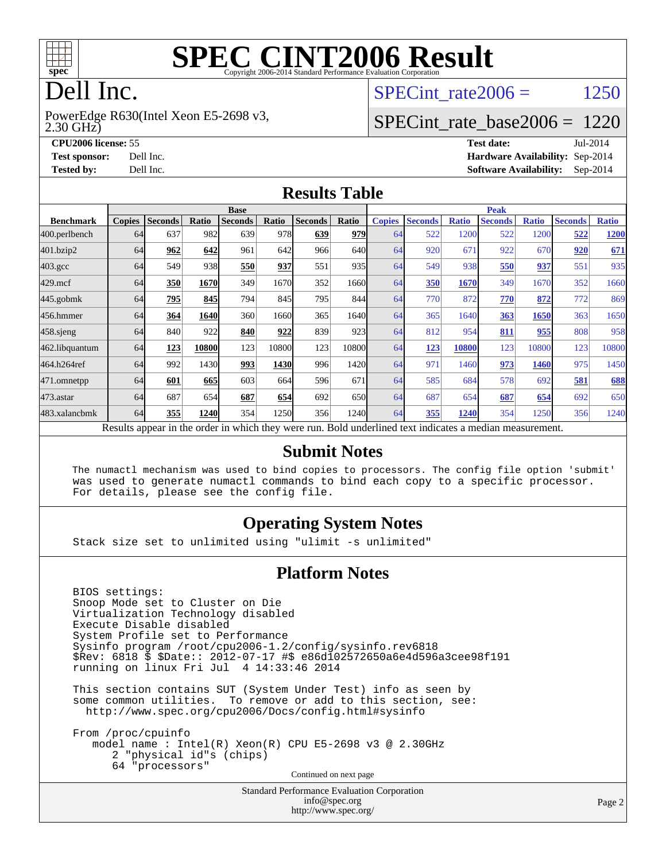

# Dell Inc.

2.30 GHz) PowerEdge R630(Intel Xeon E5-2698 v3, SPECint rate $2006 = 1250$ 

#### [SPECint\\_rate\\_base2006 =](http://www.spec.org/auto/cpu2006/Docs/result-fields.html#SPECintratebase2006) 1220

**[CPU2006 license:](http://www.spec.org/auto/cpu2006/Docs/result-fields.html#CPU2006license)** 55 **[Test date:](http://www.spec.org/auto/cpu2006/Docs/result-fields.html#Testdate)** Jul-2014 **[Test sponsor:](http://www.spec.org/auto/cpu2006/Docs/result-fields.html#Testsponsor)** Dell Inc. **[Hardware Availability:](http://www.spec.org/auto/cpu2006/Docs/result-fields.html#HardwareAvailability)** Sep-2014 **[Tested by:](http://www.spec.org/auto/cpu2006/Docs/result-fields.html#Testedby)** Dell Inc. **[Software Availability:](http://www.spec.org/auto/cpu2006/Docs/result-fields.html#SoftwareAvailability)** Sep-2014

#### **[Results Table](http://www.spec.org/auto/cpu2006/Docs/result-fields.html#ResultsTable)**

|                                                                                                          | <b>Base</b>   |                |              |                |       |                |       | <b>Peak</b>   |                |              |                |              |                |              |
|----------------------------------------------------------------------------------------------------------|---------------|----------------|--------------|----------------|-------|----------------|-------|---------------|----------------|--------------|----------------|--------------|----------------|--------------|
| <b>Benchmark</b>                                                                                         | <b>Copies</b> | <b>Seconds</b> | <b>Ratio</b> | <b>Seconds</b> | Ratio | <b>Seconds</b> | Ratio | <b>Copies</b> | <b>Seconds</b> | <b>Ratio</b> | <b>Seconds</b> | <b>Ratio</b> | <b>Seconds</b> | <b>Ratio</b> |
| 400.perlbench                                                                                            | 64            | 637            | 982          | 639            | 978   | 639            | 979   | 64            | 522            | 1200         | 522            | 1200         | 522            | 1200         |
| 401.bzip2                                                                                                | 64            | 962            | 642          | 961            | 642   | 966            | 640l  | 64            | 920            | 671          | 922            | 670          | 920            | 671          |
| $403.\mathrm{gcc}$                                                                                       | 64            | 549            | 938          | 550            | 937   | 551            | 935   | 64            | 549            | 938          | 550            | 937          | 551            | 935          |
| $429$ .mcf                                                                                               | 64            | 350            | 1670         | 349            | 1670  | 352            | 1660  | 64            | 350            | 1670         | 349            | 1670         | 352            | 1660         |
| $445$ .gobm $k$                                                                                          | 64            | 795            | 845          | 794            | 845   | 795            | 844   | 64            | 770            | 872          | 770            | 872          | 772            | 869          |
| 456.hmmer                                                                                                | 64            | 364            | 1640         | 360            | 1660  | 365            | 1640l | 64            | 365            | 1640         | 363            | 1650         | 363            | 1650         |
| $458$ .sjeng                                                                                             | 64            | 840            | 922          | 840            | 922   | 839            | 923   | 64            | 812            | 954          | 811            | 955          | 808            | 958          |
| 462.libquantum                                                                                           | 64            | 123            | 10800        | 123            | 10800 | 123            | 10800 | 64            | 123            | 10800        | 123            | 10800        | 123            | 10800        |
| 464.h264ref                                                                                              | 64            | 992            | 1430         | 993            | 1430  | 996            | 1420  | 64            | 971            | 1460         | 973            | 1460         | 975            | 1450         |
| 471.omnetpp                                                                                              | 64            | 601            | 665          | 603            | 664   | 596            | 671   | 64            | 585            | 684          | 578            | 692          | 581            | 688          |
| $473.$ astar                                                                                             | 64            | 687            | 654          | 687            | 654   | 692            | 650   | 64            | 687            | 654          | 687            | 654          | 692            | 650          |
| 483.xalancbmk                                                                                            | 64            | 355            | 1240         | 354            | 1250  | 356            | 1240  | 64            | 355            | 1240         | 354            | 1250         | 356            | 1240         |
| Results appear in the order in which they were run. Bold underlined text indicates a median measurement. |               |                |              |                |       |                |       |               |                |              |                |              |                |              |

#### **[Submit Notes](http://www.spec.org/auto/cpu2006/Docs/result-fields.html#SubmitNotes)**

 The numactl mechanism was used to bind copies to processors. The config file option 'submit' was used to generate numactl commands to bind each copy to a specific processor. For details, please see the config file.

#### **[Operating System Notes](http://www.spec.org/auto/cpu2006/Docs/result-fields.html#OperatingSystemNotes)**

Stack size set to unlimited using "ulimit -s unlimited"

#### **[Platform Notes](http://www.spec.org/auto/cpu2006/Docs/result-fields.html#PlatformNotes)**

 BIOS settings: Snoop Mode set to Cluster on Die Virtualization Technology disabled Execute Disable disabled System Profile set to Performance Sysinfo program /root/cpu2006-1.2/config/sysinfo.rev6818 \$Rev: 6818 \$ \$Date:: 2012-07-17 #\$ e86d102572650a6e4d596a3cee98f191 running on linux Fri Jul 4 14:33:46 2014

 This section contains SUT (System Under Test) info as seen by some common utilities. To remove or add to this section, see: <http://www.spec.org/cpu2006/Docs/config.html#sysinfo>

 From /proc/cpuinfo model name : Intel(R) Xeon(R) CPU E5-2698 v3 @ 2.30GHz 2 "physical id"s (chips) 64 "processors" Continued on next page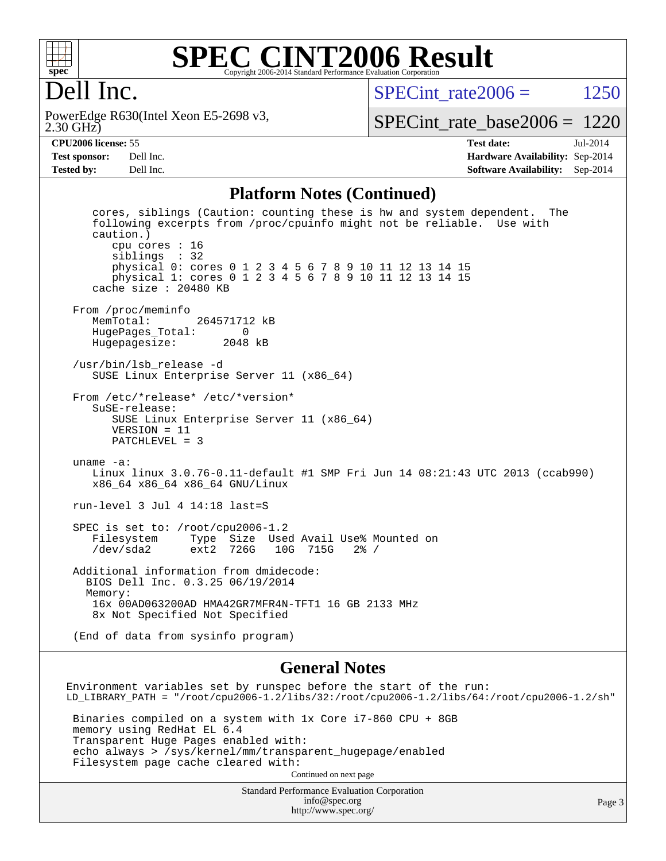

#### **[SPEC CINT2006 Result](http://www.spec.org/auto/cpu2006/Docs/result-fields.html#SPECCINT2006Result)** Copyright 2006-2014 Standard Performance Evaluation Corporation

## Dell Inc.

2.30 GHz) PowerEdge R630(Intel Xeon E5-2698 v3, SPECint rate $2006 = 1250$ 

[SPECint\\_rate\\_base2006 =](http://www.spec.org/auto/cpu2006/Docs/result-fields.html#SPECintratebase2006) 1220

**[CPU2006 license:](http://www.spec.org/auto/cpu2006/Docs/result-fields.html#CPU2006license)** 55 **[Test date:](http://www.spec.org/auto/cpu2006/Docs/result-fields.html#Testdate)** Jul-2014 **[Test sponsor:](http://www.spec.org/auto/cpu2006/Docs/result-fields.html#Testsponsor)** Dell Inc. **[Hardware Availability:](http://www.spec.org/auto/cpu2006/Docs/result-fields.html#HardwareAvailability)** Sep-2014 **[Tested by:](http://www.spec.org/auto/cpu2006/Docs/result-fields.html#Testedby)** Dell Inc. **[Software Availability:](http://www.spec.org/auto/cpu2006/Docs/result-fields.html#SoftwareAvailability)** Sep-2014

#### **[Platform Notes \(Continued\)](http://www.spec.org/auto/cpu2006/Docs/result-fields.html#PlatformNotes)**

 cores, siblings (Caution: counting these is hw and system dependent. The following excerpts from /proc/cpuinfo might not be reliable. Use with caution.) cpu cores : 16 siblings : 32 physical 0: cores 0 1 2 3 4 5 6 7 8 9 10 11 12 13 14 15 physical 1: cores 0 1 2 3 4 5 6 7 8 9 10 11 12 13 14 15 cache size : 20480 KB From /proc/meminfo<br>MemTotal: 264571712 kB HugePages\_Total: 0 Hugepagesize: 2048 kB /usr/bin/lsb\_release -d SUSE Linux Enterprise Server 11 (x86\_64) From /etc/\*release\* /etc/\*version\* SuSE-release: SUSE Linux Enterprise Server 11 (x86\_64) VERSION = 11 PATCHLEVEL = 3 uname -a: Linux linux 3.0.76-0.11-default #1 SMP Fri Jun 14 08:21:43 UTC 2013 (ccab990) x86\_64 x86\_64 x86\_64 GNU/Linux run-level 3 Jul 4 14:18 last=S SPEC is set to: /root/cpu2006-1.2 Filesystem Type Size Used Avail Use% Mounted on /dev/sda2 ext2 726G 10G 715G 2% / Additional information from dmidecode: BIOS Dell Inc. 0.3.25 06/19/2014 Memory: 16x 00AD063200AD HMA42GR7MFR4N-TFT1 16 GB 2133 MHz 8x Not Specified Not Specified (End of data from sysinfo program)

#### **[General Notes](http://www.spec.org/auto/cpu2006/Docs/result-fields.html#GeneralNotes)**

Environment variables set by runspec before the start of the run: LD\_LIBRARY\_PATH = "/root/cpu2006-1.2/libs/32:/root/cpu2006-1.2/libs/64:/root/cpu2006-1.2/sh" Binaries compiled on a system with 1x Core i7-860 CPU + 8GB memory using RedHat EL 6.4 Transparent Huge Pages enabled with: echo always > /sys/kernel/mm/transparent\_hugepage/enabled Filesystem page cache cleared with: Continued on next page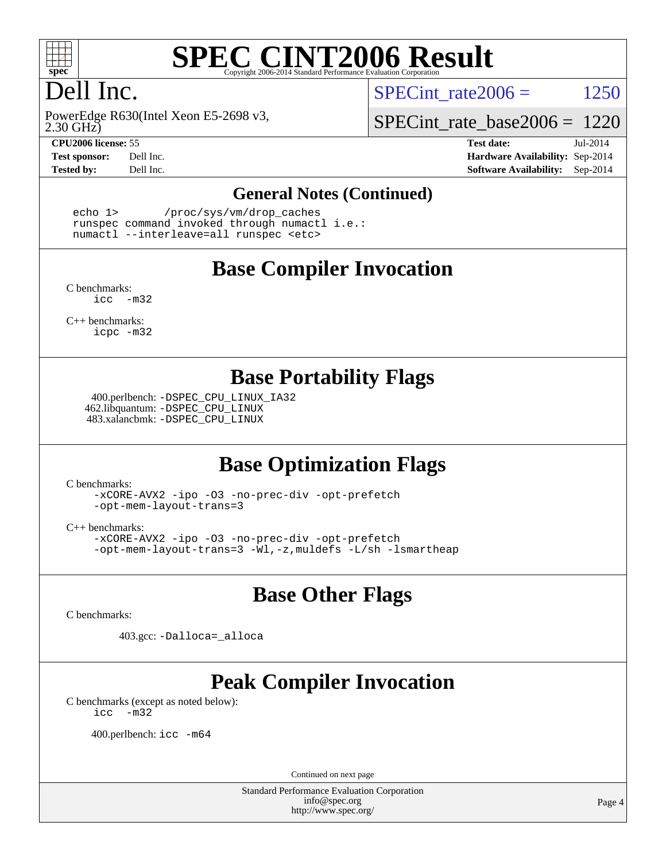

# Dell Inc.

2.30 GHz) PowerEdge R630(Intel Xeon E5-2698 v3,

SPECint rate $2006 = 1250$ 

[SPECint\\_rate\\_base2006 =](http://www.spec.org/auto/cpu2006/Docs/result-fields.html#SPECintratebase2006) 1220

**[CPU2006 license:](http://www.spec.org/auto/cpu2006/Docs/result-fields.html#CPU2006license)** 55 **[Test date:](http://www.spec.org/auto/cpu2006/Docs/result-fields.html#Testdate)** Jul-2014 **[Test sponsor:](http://www.spec.org/auto/cpu2006/Docs/result-fields.html#Testsponsor)** Dell Inc. **[Hardware Availability:](http://www.spec.org/auto/cpu2006/Docs/result-fields.html#HardwareAvailability)** Sep-2014 **[Tested by:](http://www.spec.org/auto/cpu2006/Docs/result-fields.html#Testedby)** Dell Inc. **[Software Availability:](http://www.spec.org/auto/cpu2006/Docs/result-fields.html#SoftwareAvailability)** Sep-2014

#### **[General Notes \(Continued\)](http://www.spec.org/auto/cpu2006/Docs/result-fields.html#GeneralNotes)**

 echo 1> /proc/sys/vm/drop\_caches runspec command invoked through numactl i.e.: numactl --interleave=all runspec <etc>

#### **[Base Compiler Invocation](http://www.spec.org/auto/cpu2006/Docs/result-fields.html#BaseCompilerInvocation)**

[C benchmarks](http://www.spec.org/auto/cpu2006/Docs/result-fields.html#Cbenchmarks): [icc -m32](http://www.spec.org/cpu2006/results/res2014q3/cpu2006-20140909-31394.flags.html#user_CCbase_intel_icc_5ff4a39e364c98233615fdd38438c6f2)

[C++ benchmarks:](http://www.spec.org/auto/cpu2006/Docs/result-fields.html#CXXbenchmarks) [icpc -m32](http://www.spec.org/cpu2006/results/res2014q3/cpu2006-20140909-31394.flags.html#user_CXXbase_intel_icpc_4e5a5ef1a53fd332b3c49e69c3330699)

#### **[Base Portability Flags](http://www.spec.org/auto/cpu2006/Docs/result-fields.html#BasePortabilityFlags)**

 400.perlbench: [-DSPEC\\_CPU\\_LINUX\\_IA32](http://www.spec.org/cpu2006/results/res2014q3/cpu2006-20140909-31394.flags.html#b400.perlbench_baseCPORTABILITY_DSPEC_CPU_LINUX_IA32) 462.libquantum: [-DSPEC\\_CPU\\_LINUX](http://www.spec.org/cpu2006/results/res2014q3/cpu2006-20140909-31394.flags.html#b462.libquantum_baseCPORTABILITY_DSPEC_CPU_LINUX) 483.xalancbmk: [-DSPEC\\_CPU\\_LINUX](http://www.spec.org/cpu2006/results/res2014q3/cpu2006-20140909-31394.flags.html#b483.xalancbmk_baseCXXPORTABILITY_DSPEC_CPU_LINUX)

## **[Base Optimization Flags](http://www.spec.org/auto/cpu2006/Docs/result-fields.html#BaseOptimizationFlags)**

[C benchmarks](http://www.spec.org/auto/cpu2006/Docs/result-fields.html#Cbenchmarks):

[-xCORE-AVX2](http://www.spec.org/cpu2006/results/res2014q3/cpu2006-20140909-31394.flags.html#user_CCbase_f-xAVX2_5f5fc0cbe2c9f62c816d3e45806c70d7) [-ipo](http://www.spec.org/cpu2006/results/res2014q3/cpu2006-20140909-31394.flags.html#user_CCbase_f-ipo) [-O3](http://www.spec.org/cpu2006/results/res2014q3/cpu2006-20140909-31394.flags.html#user_CCbase_f-O3) [-no-prec-div](http://www.spec.org/cpu2006/results/res2014q3/cpu2006-20140909-31394.flags.html#user_CCbase_f-no-prec-div) [-opt-prefetch](http://www.spec.org/cpu2006/results/res2014q3/cpu2006-20140909-31394.flags.html#user_CCbase_f-opt-prefetch) [-opt-mem-layout-trans=3](http://www.spec.org/cpu2006/results/res2014q3/cpu2006-20140909-31394.flags.html#user_CCbase_f-opt-mem-layout-trans_a7b82ad4bd7abf52556d4961a2ae94d5)

[C++ benchmarks:](http://www.spec.org/auto/cpu2006/Docs/result-fields.html#CXXbenchmarks)

[-xCORE-AVX2](http://www.spec.org/cpu2006/results/res2014q3/cpu2006-20140909-31394.flags.html#user_CXXbase_f-xAVX2_5f5fc0cbe2c9f62c816d3e45806c70d7) [-ipo](http://www.spec.org/cpu2006/results/res2014q3/cpu2006-20140909-31394.flags.html#user_CXXbase_f-ipo) [-O3](http://www.spec.org/cpu2006/results/res2014q3/cpu2006-20140909-31394.flags.html#user_CXXbase_f-O3) [-no-prec-div](http://www.spec.org/cpu2006/results/res2014q3/cpu2006-20140909-31394.flags.html#user_CXXbase_f-no-prec-div) [-opt-prefetch](http://www.spec.org/cpu2006/results/res2014q3/cpu2006-20140909-31394.flags.html#user_CXXbase_f-opt-prefetch) [-opt-mem-layout-trans=3](http://www.spec.org/cpu2006/results/res2014q3/cpu2006-20140909-31394.flags.html#user_CXXbase_f-opt-mem-layout-trans_a7b82ad4bd7abf52556d4961a2ae94d5) [-Wl,-z,muldefs](http://www.spec.org/cpu2006/results/res2014q3/cpu2006-20140909-31394.flags.html#user_CXXbase_link_force_multiple1_74079c344b956b9658436fd1b6dd3a8a) [-L/sh -lsmartheap](http://www.spec.org/cpu2006/results/res2014q3/cpu2006-20140909-31394.flags.html#user_CXXbase_SmartHeap_32f6c82aa1ed9c52345d30cf6e4a0499)

## **[Base Other Flags](http://www.spec.org/auto/cpu2006/Docs/result-fields.html#BaseOtherFlags)**

[C benchmarks](http://www.spec.org/auto/cpu2006/Docs/result-fields.html#Cbenchmarks):

403.gcc: [-Dalloca=\\_alloca](http://www.spec.org/cpu2006/results/res2014q3/cpu2006-20140909-31394.flags.html#b403.gcc_baseEXTRA_CFLAGS_Dalloca_be3056838c12de2578596ca5467af7f3)

# **[Peak Compiler Invocation](http://www.spec.org/auto/cpu2006/Docs/result-fields.html#PeakCompilerInvocation)**

[C benchmarks \(except as noted below\)](http://www.spec.org/auto/cpu2006/Docs/result-fields.html#Cbenchmarksexceptasnotedbelow): [icc -m32](http://www.spec.org/cpu2006/results/res2014q3/cpu2006-20140909-31394.flags.html#user_CCpeak_intel_icc_5ff4a39e364c98233615fdd38438c6f2)

400.perlbench: [icc -m64](http://www.spec.org/cpu2006/results/res2014q3/cpu2006-20140909-31394.flags.html#user_peakCCLD400_perlbench_intel_icc_64bit_bda6cc9af1fdbb0edc3795bac97ada53)

Continued on next page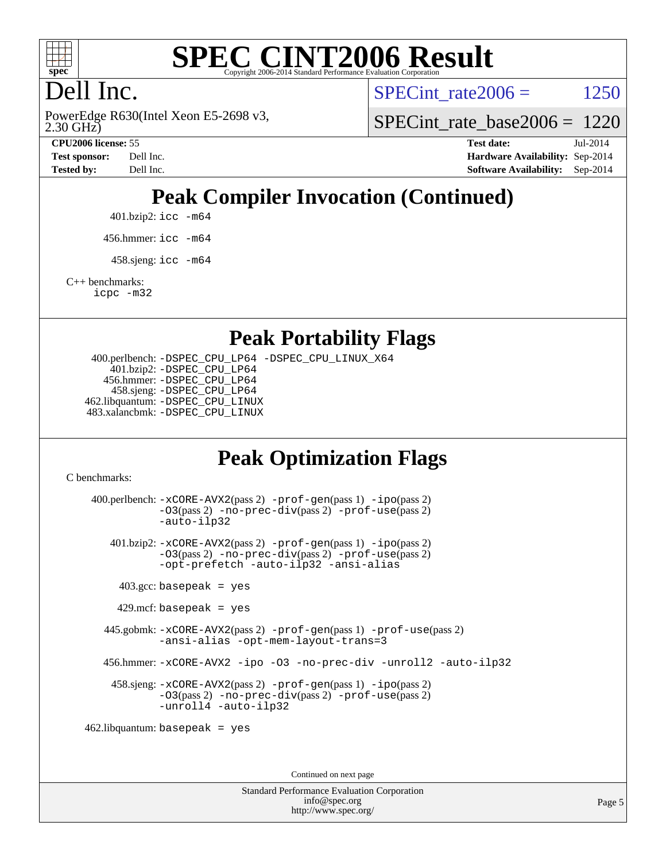

# Dell Inc.

2.30 GHz) PowerEdge R630(Intel Xeon E5-2698 v3, SPECint rate $2006 = 1250$ 

[SPECint\\_rate\\_base2006 =](http://www.spec.org/auto/cpu2006/Docs/result-fields.html#SPECintratebase2006) 1220

**[CPU2006 license:](http://www.spec.org/auto/cpu2006/Docs/result-fields.html#CPU2006license)** 55 **[Test date:](http://www.spec.org/auto/cpu2006/Docs/result-fields.html#Testdate)** Jul-2014 **[Test sponsor:](http://www.spec.org/auto/cpu2006/Docs/result-fields.html#Testsponsor)** Dell Inc. **[Hardware Availability:](http://www.spec.org/auto/cpu2006/Docs/result-fields.html#HardwareAvailability)** Sep-2014 **[Tested by:](http://www.spec.org/auto/cpu2006/Docs/result-fields.html#Testedby)** Dell Inc. **[Software Availability:](http://www.spec.org/auto/cpu2006/Docs/result-fields.html#SoftwareAvailability)** Sep-2014

# **[Peak Compiler Invocation \(Continued\)](http://www.spec.org/auto/cpu2006/Docs/result-fields.html#PeakCompilerInvocation)**

401.bzip2: [icc -m64](http://www.spec.org/cpu2006/results/res2014q3/cpu2006-20140909-31394.flags.html#user_peakCCLD401_bzip2_intel_icc_64bit_bda6cc9af1fdbb0edc3795bac97ada53)

456.hmmer: [icc -m64](http://www.spec.org/cpu2006/results/res2014q3/cpu2006-20140909-31394.flags.html#user_peakCCLD456_hmmer_intel_icc_64bit_bda6cc9af1fdbb0edc3795bac97ada53)

 $458 \text{.}$ sjeng: icc  $-\text{m64}$ 

[C++ benchmarks:](http://www.spec.org/auto/cpu2006/Docs/result-fields.html#CXXbenchmarks)

[icpc -m32](http://www.spec.org/cpu2006/results/res2014q3/cpu2006-20140909-31394.flags.html#user_CXXpeak_intel_icpc_4e5a5ef1a53fd332b3c49e69c3330699)

#### **[Peak Portability Flags](http://www.spec.org/auto/cpu2006/Docs/result-fields.html#PeakPortabilityFlags)**

 400.perlbench: [-DSPEC\\_CPU\\_LP64](http://www.spec.org/cpu2006/results/res2014q3/cpu2006-20140909-31394.flags.html#b400.perlbench_peakCPORTABILITY_DSPEC_CPU_LP64) [-DSPEC\\_CPU\\_LINUX\\_X64](http://www.spec.org/cpu2006/results/res2014q3/cpu2006-20140909-31394.flags.html#b400.perlbench_peakCPORTABILITY_DSPEC_CPU_LINUX_X64) 401.bzip2: [-DSPEC\\_CPU\\_LP64](http://www.spec.org/cpu2006/results/res2014q3/cpu2006-20140909-31394.flags.html#suite_peakCPORTABILITY401_bzip2_DSPEC_CPU_LP64) 456.hmmer: [-DSPEC\\_CPU\\_LP64](http://www.spec.org/cpu2006/results/res2014q3/cpu2006-20140909-31394.flags.html#suite_peakCPORTABILITY456_hmmer_DSPEC_CPU_LP64) 458.sjeng: [-DSPEC\\_CPU\\_LP64](http://www.spec.org/cpu2006/results/res2014q3/cpu2006-20140909-31394.flags.html#suite_peakCPORTABILITY458_sjeng_DSPEC_CPU_LP64) 462.libquantum: [-DSPEC\\_CPU\\_LINUX](http://www.spec.org/cpu2006/results/res2014q3/cpu2006-20140909-31394.flags.html#b462.libquantum_peakCPORTABILITY_DSPEC_CPU_LINUX) 483.xalancbmk: [-DSPEC\\_CPU\\_LINUX](http://www.spec.org/cpu2006/results/res2014q3/cpu2006-20140909-31394.flags.html#b483.xalancbmk_peakCXXPORTABILITY_DSPEC_CPU_LINUX)

## **[Peak Optimization Flags](http://www.spec.org/auto/cpu2006/Docs/result-fields.html#PeakOptimizationFlags)**

[C benchmarks](http://www.spec.org/auto/cpu2006/Docs/result-fields.html#Cbenchmarks):

 400.perlbench: [-xCORE-AVX2](http://www.spec.org/cpu2006/results/res2014q3/cpu2006-20140909-31394.flags.html#user_peakPASS2_CFLAGSPASS2_LDCFLAGS400_perlbench_f-xAVX2_5f5fc0cbe2c9f62c816d3e45806c70d7)(pass 2) [-prof-gen](http://www.spec.org/cpu2006/results/res2014q3/cpu2006-20140909-31394.flags.html#user_peakPASS1_CFLAGSPASS1_LDCFLAGS400_perlbench_prof_gen_e43856698f6ca7b7e442dfd80e94a8fc)(pass 1) [-ipo](http://www.spec.org/cpu2006/results/res2014q3/cpu2006-20140909-31394.flags.html#user_peakPASS2_CFLAGSPASS2_LDCFLAGS400_perlbench_f-ipo)(pass 2) [-O3](http://www.spec.org/cpu2006/results/res2014q3/cpu2006-20140909-31394.flags.html#user_peakPASS2_CFLAGSPASS2_LDCFLAGS400_perlbench_f-O3)(pass 2) [-no-prec-div](http://www.spec.org/cpu2006/results/res2014q3/cpu2006-20140909-31394.flags.html#user_peakPASS2_CFLAGSPASS2_LDCFLAGS400_perlbench_f-no-prec-div)(pass 2) [-prof-use](http://www.spec.org/cpu2006/results/res2014q3/cpu2006-20140909-31394.flags.html#user_peakPASS2_CFLAGSPASS2_LDCFLAGS400_perlbench_prof_use_bccf7792157ff70d64e32fe3e1250b55)(pass 2) [-auto-ilp32](http://www.spec.org/cpu2006/results/res2014q3/cpu2006-20140909-31394.flags.html#user_peakCOPTIMIZE400_perlbench_f-auto-ilp32) 401.bzip2: [-xCORE-AVX2](http://www.spec.org/cpu2006/results/res2014q3/cpu2006-20140909-31394.flags.html#user_peakPASS2_CFLAGSPASS2_LDCFLAGS401_bzip2_f-xAVX2_5f5fc0cbe2c9f62c816d3e45806c70d7)(pass 2) [-prof-gen](http://www.spec.org/cpu2006/results/res2014q3/cpu2006-20140909-31394.flags.html#user_peakPASS1_CFLAGSPASS1_LDCFLAGS401_bzip2_prof_gen_e43856698f6ca7b7e442dfd80e94a8fc)(pass 1) [-ipo](http://www.spec.org/cpu2006/results/res2014q3/cpu2006-20140909-31394.flags.html#user_peakPASS2_CFLAGSPASS2_LDCFLAGS401_bzip2_f-ipo)(pass 2) [-O3](http://www.spec.org/cpu2006/results/res2014q3/cpu2006-20140909-31394.flags.html#user_peakPASS2_CFLAGSPASS2_LDCFLAGS401_bzip2_f-O3)(pass 2) [-no-prec-div](http://www.spec.org/cpu2006/results/res2014q3/cpu2006-20140909-31394.flags.html#user_peakPASS2_CFLAGSPASS2_LDCFLAGS401_bzip2_f-no-prec-div)(pass 2) [-prof-use](http://www.spec.org/cpu2006/results/res2014q3/cpu2006-20140909-31394.flags.html#user_peakPASS2_CFLAGSPASS2_LDCFLAGS401_bzip2_prof_use_bccf7792157ff70d64e32fe3e1250b55)(pass 2) [-opt-prefetch](http://www.spec.org/cpu2006/results/res2014q3/cpu2006-20140909-31394.flags.html#user_peakCOPTIMIZE401_bzip2_f-opt-prefetch) [-auto-ilp32](http://www.spec.org/cpu2006/results/res2014q3/cpu2006-20140909-31394.flags.html#user_peakCOPTIMIZE401_bzip2_f-auto-ilp32) [-ansi-alias](http://www.spec.org/cpu2006/results/res2014q3/cpu2006-20140909-31394.flags.html#user_peakCOPTIMIZE401_bzip2_f-ansi-alias)  $403.\text{gcc: basepeak}$  = yes  $429$ .mcf: basepeak = yes 445.gobmk: [-xCORE-AVX2](http://www.spec.org/cpu2006/results/res2014q3/cpu2006-20140909-31394.flags.html#user_peakPASS2_CFLAGSPASS2_LDCFLAGS445_gobmk_f-xAVX2_5f5fc0cbe2c9f62c816d3e45806c70d7)(pass 2) [-prof-gen](http://www.spec.org/cpu2006/results/res2014q3/cpu2006-20140909-31394.flags.html#user_peakPASS1_CFLAGSPASS1_LDCFLAGS445_gobmk_prof_gen_e43856698f6ca7b7e442dfd80e94a8fc)(pass 1) [-prof-use](http://www.spec.org/cpu2006/results/res2014q3/cpu2006-20140909-31394.flags.html#user_peakPASS2_CFLAGSPASS2_LDCFLAGS445_gobmk_prof_use_bccf7792157ff70d64e32fe3e1250b55)(pass 2) [-ansi-alias](http://www.spec.org/cpu2006/results/res2014q3/cpu2006-20140909-31394.flags.html#user_peakCOPTIMIZE445_gobmk_f-ansi-alias) [-opt-mem-layout-trans=3](http://www.spec.org/cpu2006/results/res2014q3/cpu2006-20140909-31394.flags.html#user_peakCOPTIMIZE445_gobmk_f-opt-mem-layout-trans_a7b82ad4bd7abf52556d4961a2ae94d5) 456.hmmer: [-xCORE-AVX2](http://www.spec.org/cpu2006/results/res2014q3/cpu2006-20140909-31394.flags.html#user_peakCOPTIMIZE456_hmmer_f-xAVX2_5f5fc0cbe2c9f62c816d3e45806c70d7) [-ipo](http://www.spec.org/cpu2006/results/res2014q3/cpu2006-20140909-31394.flags.html#user_peakCOPTIMIZE456_hmmer_f-ipo) [-O3](http://www.spec.org/cpu2006/results/res2014q3/cpu2006-20140909-31394.flags.html#user_peakCOPTIMIZE456_hmmer_f-O3) [-no-prec-div](http://www.spec.org/cpu2006/results/res2014q3/cpu2006-20140909-31394.flags.html#user_peakCOPTIMIZE456_hmmer_f-no-prec-div) [-unroll2](http://www.spec.org/cpu2006/results/res2014q3/cpu2006-20140909-31394.flags.html#user_peakCOPTIMIZE456_hmmer_f-unroll_784dae83bebfb236979b41d2422d7ec2) [-auto-ilp32](http://www.spec.org/cpu2006/results/res2014q3/cpu2006-20140909-31394.flags.html#user_peakCOPTIMIZE456_hmmer_f-auto-ilp32) 458.sjeng: [-xCORE-AVX2](http://www.spec.org/cpu2006/results/res2014q3/cpu2006-20140909-31394.flags.html#user_peakPASS2_CFLAGSPASS2_LDCFLAGS458_sjeng_f-xAVX2_5f5fc0cbe2c9f62c816d3e45806c70d7)(pass 2) [-prof-gen](http://www.spec.org/cpu2006/results/res2014q3/cpu2006-20140909-31394.flags.html#user_peakPASS1_CFLAGSPASS1_LDCFLAGS458_sjeng_prof_gen_e43856698f6ca7b7e442dfd80e94a8fc)(pass 1) [-ipo](http://www.spec.org/cpu2006/results/res2014q3/cpu2006-20140909-31394.flags.html#user_peakPASS2_CFLAGSPASS2_LDCFLAGS458_sjeng_f-ipo)(pass 2) [-O3](http://www.spec.org/cpu2006/results/res2014q3/cpu2006-20140909-31394.flags.html#user_peakPASS2_CFLAGSPASS2_LDCFLAGS458_sjeng_f-O3)(pass 2) [-no-prec-div](http://www.spec.org/cpu2006/results/res2014q3/cpu2006-20140909-31394.flags.html#user_peakPASS2_CFLAGSPASS2_LDCFLAGS458_sjeng_f-no-prec-div)(pass 2) [-prof-use](http://www.spec.org/cpu2006/results/res2014q3/cpu2006-20140909-31394.flags.html#user_peakPASS2_CFLAGSPASS2_LDCFLAGS458_sjeng_prof_use_bccf7792157ff70d64e32fe3e1250b55)(pass 2) [-unroll4](http://www.spec.org/cpu2006/results/res2014q3/cpu2006-20140909-31394.flags.html#user_peakCOPTIMIZE458_sjeng_f-unroll_4e5e4ed65b7fd20bdcd365bec371b81f) [-auto-ilp32](http://www.spec.org/cpu2006/results/res2014q3/cpu2006-20140909-31394.flags.html#user_peakCOPTIMIZE458_sjeng_f-auto-ilp32) 462.libquantum: basepeak = yes

Continued on next page